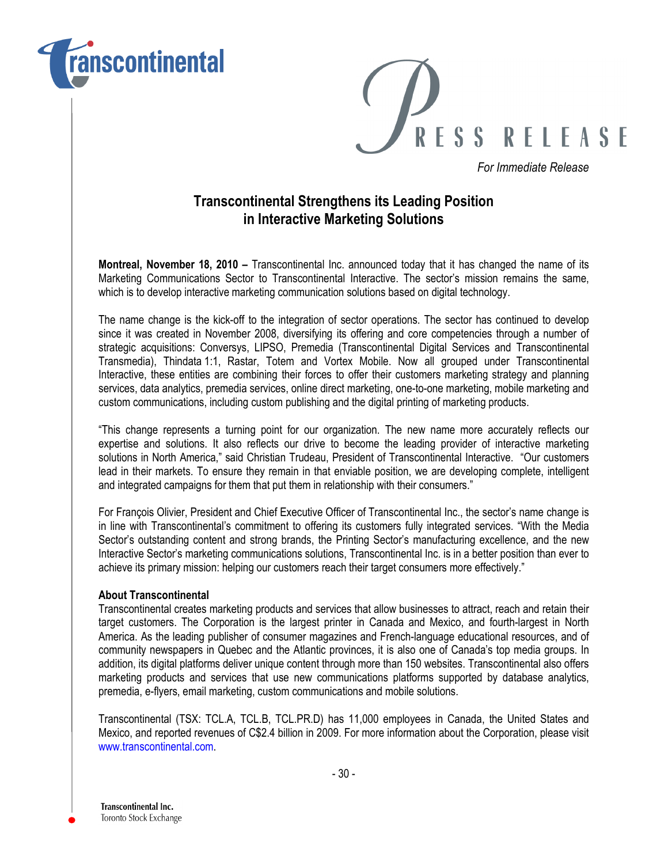



For Immediate Release

## Transcontinental Strengthens its Leading Position in Interactive Marketing Solutions

Montreal, November 18, 2010 – Transcontinental Inc. announced today that it has changed the name of its Marketing Communications Sector to Transcontinental Interactive. The sector's mission remains the same, which is to develop interactive marketing communication solutions based on digital technology.

The name change is the kick-off to the integration of sector operations. The sector has continued to develop since it was created in November 2008, diversifying its offering and core competencies through a number of strategic acquisitions: Conversys, LIPSO, Premedia (Transcontinental Digital Services and Transcontinental Transmedia), Thindata 1:1, Rastar, Totem and Vortex Mobile. Now all grouped under Transcontinental Interactive, these entities are combining their forces to offer their customers marketing strategy and planning services, data analytics, premedia services, online direct marketing, one-to-one marketing, mobile marketing and custom communications, including custom publishing and the digital printing of marketing products.

"This change represents a turning point for our organization. The new name more accurately reflects our expertise and solutions. It also reflects our drive to become the leading provider of interactive marketing solutions in North America," said Christian Trudeau, President of Transcontinental Interactive. "Our customers lead in their markets. To ensure they remain in that enviable position, we are developing complete, intelligent and integrated campaigns for them that put them in relationship with their consumers."

For François Olivier, President and Chief Executive Officer of Transcontinental Inc., the sector's name change is in line with Transcontinental's commitment to offering its customers fully integrated services. "With the Media Sector's outstanding content and strong brands, the Printing Sector's manufacturing excellence, and the new Interactive Sector's marketing communications solutions, Transcontinental Inc. is in a better position than ever to achieve its primary mission: helping our customers reach their target consumers more effectively."

## About Transcontinental

Transcontinental creates marketing products and services that allow businesses to attract, reach and retain their target customers. The Corporation is the largest printer in Canada and Mexico, and fourth-largest in North America. As the leading publisher of consumer magazines and French-language educational resources, and of community newspapers in Quebec and the Atlantic provinces, it is also one of Canada's top media groups. In addition, its digital platforms deliver unique content through more than 150 websites. Transcontinental also offers marketing products and services that use new communications platforms supported by database analytics, premedia, e-flyers, email marketing, custom communications and mobile solutions.

Transcontinental (TSX: TCL.A, TCL.B, TCL.PR.D) has 11,000 employees in Canada, the United States and Mexico, and reported revenues of C\$2.4 billion in 2009. For more information about the Corporation, please visit www.transcontinental.com